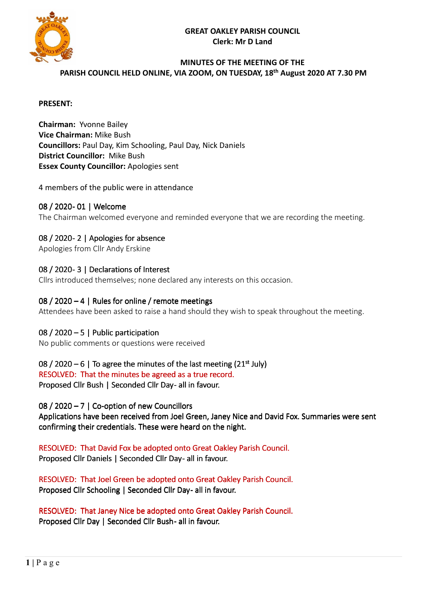

# **MINUTES OF THE MEETING OF THE PARISH COUNCIL HELD ONLINE, VIA ZOOM, ON TUESDAY, 18 th August 2020 AT 7.30 PM**

#### **PRESENT:**

**Chairman:** Yvonne Bailey **Vice Chairman:** Mike Bush **Councillors:** Paul Day, Kim Schooling, Paul Day, Nick Daniels **District Councillor:** Mike Bush **Essex County Councillor:** Apologies sent

#### 4 members of the public were in attendance

## 08 / 2020- 01 | Welcome

The Chairman welcomed everyone and reminded everyone that we are recording the meeting.

## 08 / 2020 - 2 | Apologies for absence

Apologies from Cllr Andy Erskine

## 08 / 2020-3 | Declarations of Interest

Cllrs introduced themselves; none declared any interests on this occasion.

#### 08 / 2020 – 4 | Rules for online / remote meetings

Attendees have been asked to raise a hand should they wish to speak throughout the meeting.

## 08 / 2020 – 5 | Public participation

No public comments or questions were received

## $08$  / 2020 – 6 | To agree the minutes of the last meeting (21<sup>st</sup> July)

RESOLVED: That the minutes be agreed as a true record.

Proposed Cllr Bush | Seconded Cllr Day-all in favour.

08 / 2020 – 7 | Co-option of new Councillors

Applications have been received from Joel Green, Janey Nice and David Fox. Summaries were sent confirming their credentials. These were heard on the night.

RESOLVED: That David Fox be adopted onto Great Oakley Parish Council. Proposed Cllr Daniels | Seconded Cllr Day- all in favour.

RESOLVED: That Joel Green be adopted onto Great Oakley Parish Council. Proposed Cllr Schooling | Seconded Cllr Day - all in favour.

RESOLVED: That Janey Nice be adopted onto Great Oakley Parish Council. Proposed Cllr Day | Seconded Cllr Bush-all in favour.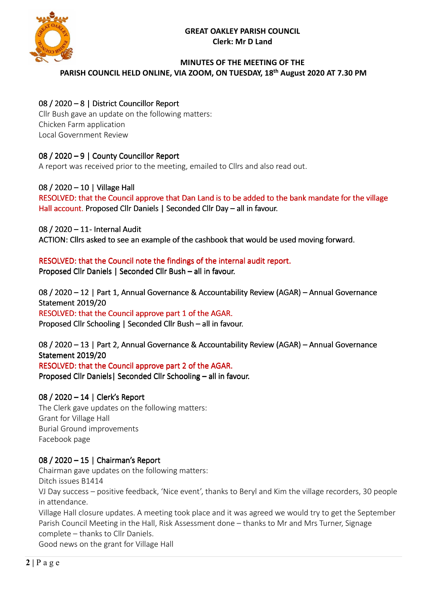

#### **MINUTES OF THE MEETING OF THE PARISH COUNCIL HELD ONLINE, VIA ZOOM, ON TUESDAY, 18 th August 2020 AT 7.30 PM**

# 08 / 2020 – 8 | District Councillor Report

Cllr Bush gave an update on the following matters: Chicken Farm application Local Government Review

# 08 / 2020 – 9 | County Councillor Report

A report was received prior to the meeting, emailed to Cllrs and also read out.

# 08 / 2020 – 10 | Village Hall

RESOLVED: that the Council approve that Dan Land is to be added to the bank mandate for the village Hall account. Proposed Cllr Daniels | Seconded Cllr Day – all in favour.

08 / 2020 - 11- Internal Audit

ACTION: Cllrs asked to see an example of the cashbook that would be used moving forward.

# RESOLVED: that the Council note the findings of the internal audit report.

Proposed Cllr Daniels | Seconded Cllr Bush – all in favour.

08 / 2020 – 12 | Part 1, Annual Governance & Accountability Review (AGAR) – Annual Governance Statement 2019/20 RESOLVED: that the Council approve part 1 of the AGAR. Proposed Cllr Schooling | Seconded Cllr Bush – all in favour.

08 / 2020 – 13 | Part 2, Annual Governance & Accountability Review (AGAR) – Annual Governance Statement 2019/20 RESOLVED: that the Council approve part 2 of the AGAR.

Proposed Cllr Daniels | Seconded Cllr Schooling - all in favour.

# 08 / 2020 - 14 | Clerk's Report

The Clerk gave updates on the following matters: Grant for Village Hall Burial Ground improvements Facebook page

# 08 / 2020 – 15 | Chairman's Report

Chairman gave updates on the following matters:

Ditch issues B1414

VJ Day success – positive feedback, 'Nice event', thanks to Beryl and Kim the village recorders, 30 people in attendance.

Village Hall closure updates. A meeting took place and it was agreed we would try to get the September Parish Council Meeting in the Hall, Risk Assessment done – thanks to Mr and Mrs Turner, Signage complete – thanks to Cllr Daniels.

Good news on the grant for Village Hall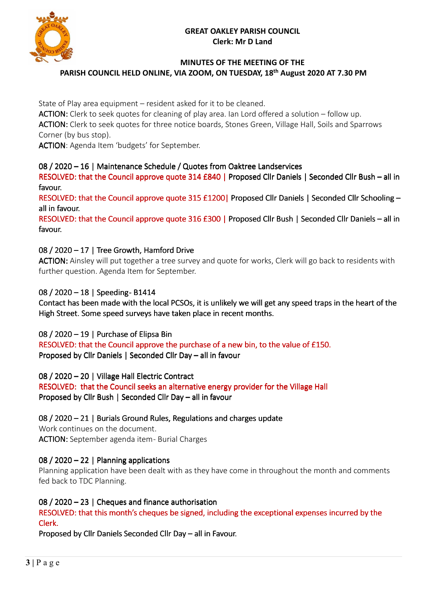

## **MINUTES OF THE MEETING OF THE PARISH COUNCIL HELD ONLINE, VIA ZOOM, ON TUESDAY, 18 th August 2020 AT 7.30 PM**

State of Play area equipment – resident asked for it to be cleaned.

ACTION: Clerk to seek quotes for cleaning of play area. Ian Lord offered a solution – follow up. ACTION: Clerk to seek quotes for three notice boards, Stones Green, Village Hall, Soils and Sparrows Corner (by bus stop).

ACTION: Agenda Item 'budgets' for September.

# 08 / 2020 – 16 | Maintenance Schedule / Quotes from Oaktree Landservices

RESOLVED: that the Council approve quote 314 £840 | Proposed Cllr Daniels | Seconded Cllr Bush – all in favour.

RESOLVED: that the Council approve quote 315 £1200| Proposed Cllr Daniels | Seconded Cllr Schooling – all in favour.

RESOLVED: that the Council approve quote 316 £300 | Proposed Cllr Bush | Seconded Cllr Daniels – all in favour.

# 08 / 2020 – 17 | Tree Growth, Hamford Drive

ACTION: Ainsley will put together a tree survey and quote for works, Clerk will go back to residents with further question. Agenda Item for September.

# 08 / 2020 - 18 | Speeding - B1414

Contact has been made with the local PCSOs, it is unlikely we will get any speed traps in the heart of the High Street. Some speed surveys have taken place in recent months.

08 / 2020 – 19 | Purchase of Elipsa Bin

RESOLVED: that the Council approve the purchase of a new bin, to the value of £150. Proposed by Cllr Daniels | Seconded Cllr Day – all in favour

08 / 2020 – 20 | Village Hall Electric Contract

RESOLVED: that the Council seeks an alternative energy provider for the Village Hall Proposed by Cllr Bush | Seconded Cllr Day – all in favour

 $08$  / 2020 – 21 | Burials Ground Rules, Regulations and charges update

Work continues on the document. ACTION: September agenda item- Burial Charges

# 08 / 2020 – 22 | Planning applications

Planning application have been dealt with as they have come in throughout the month and comments fed back to TDC Planning.

# 08 / 2020 – 23 | Cheques and finance authorisation

RESOLVED: that this month's cheques be signed, including the exceptional expenses incurred by the Clerk.

Proposed by Cllr Daniels Seconded Cllr Day – all in Favour.